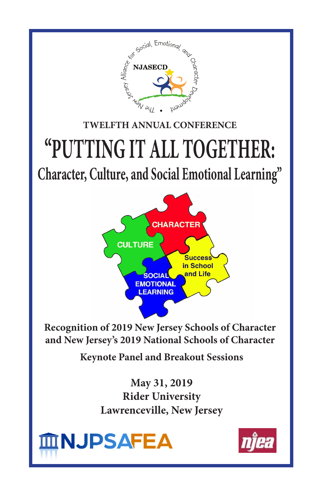

**and New Jersey's 2019 National Schools of Character**

**Keynote Panel and Breakout Sessions**

**May 31, 2019 Rider University Lawrenceville, New Jersey**



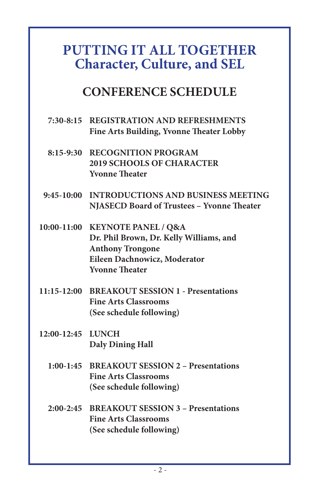# **PUTTING IT ALL TOGETHER Character, Culture, and SEL**

# **CONFERENCE SCHEDULE**

- **7:30-8:15 REGISTRATION AND REFRESHMENTS Fine Arts Building, Yvonne Theater Lobby**
- **8:15-9:30 RECOGNITION PROGRAM 2019 SCHOOLS OF CHARACTER Yvonne Theater**
- **9:45-10:00 INTRODUCTIONS AND BUSINESS MEETING NJASECD Board of Trustees – Yvonne Theater**
- **10:00-11:00 KEYNOTE PANEL / Q&A Dr. Phil Brown, Dr. Kelly Williams, and Anthony Trongone Eileen Dachnowicz, Moderator Yvonne Theater**
- **11:15-12:00 BREAKOUT SESSION 1 Presentations Fine Arts Classrooms (See schedule following)**
- **12:00-12:45 LUNCH Daly Dining Hall**
	- **1:00-1:45 BREAKOUT SESSION 2 Presentations Fine Arts Classrooms (See schedule following)**
	- **2:00-2:45 BREAKOUT SESSION 3 Presentations Fine Arts Classrooms (See schedule following)**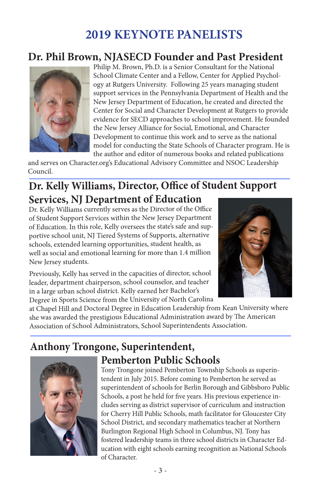# **2019 KEYNOTE PANELISTS**

## **Dr. Phil Brown, NJASECD Founder and Past President**



Philip M. Brown, Ph.D. is a Senior Consultant for the National School Climate Center and a Fellow, Center for Applied Psychology at Rutgers University. Following 25 years managing student support services in the Pennsylvania Department of Health and the New Jersey Department of Education, he created and directed the Center for Social and Character Development at Rutgers to provide evidence for SECD approaches to school improvement. He founded the New Jersey Alliance for Social, Emotional, and Character Development to continue this work and to serve as the national model for conducting the State Schools of Character program. He is the author and editor of numerous books and related publications

and serves on Character.org's Educational Advisory Committee and NSOC Leadership Council.

## **Dr. Kelly Williams, Director, Office of Student Support Services, NJ Department of Education**

Dr. Kelly Williams currently serves as the Director of the Office of Student Support Services within the New Jersey Department of Education. In this role, Kelly oversees the state's safe and supportive school unit, NJ Tiered Systems of Supports, alternative schools, extended learning opportunities, student health, as well as social and emotional learning for more than 1.4 million New Jersey students.

Previously, Kelly has served in the capacities of director, school leader, department chairperson, school counselor, and teacher in a large urban school district. Kelly earned her Bachelor's Degree in Sports Science from the University of North Carolina



at Chapel Hill and Doctoral Degree in Education Leadership from Kean University where she was awarded the prestigious Educational Administration award by The American Association of School Administrators, School Superintendents Association.

# **Anthony Trongone, Superintendent,**



# **Pemberton Public Schools**

Tony Trongone joined Pemberton Township Schools as superintendent in July 2015. Before coming to Pemberton he served as superintendent of schools for Berlin Borough and Gibbsboro Public Schools, a post he held for five years. His previous experience includes serving as district supervisor of curriculum and instruction for Cherry Hill Public Schools, math facilitator for Gloucester City School District, and secondary mathematics teacher at Northern Burlington Regional High School in Columbus, NJ. Tony has fostered leadership teams in three school districts in Character Education with eight schools earning recognition as National Schools of Character.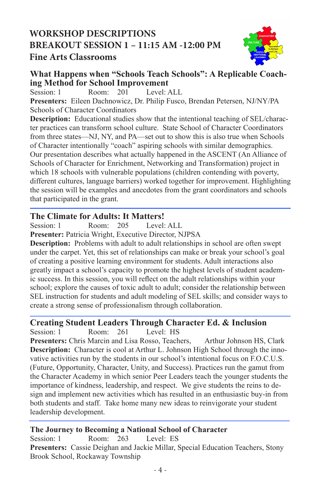## **WORKSHOP DESCRIPTIONS BREAKOUT SESSION 1 – 11:15 AM -12:00 PM Fine Arts Classrooms**



# **What Happens when "Schools Teach Schools": A Replicable Coach-**<br> **ing Method for School Improvement**<br> **Session: 1** Room: 201 Level: ALL

Session: 1 Room: 201 Level: ALL **Presenters:** Eileen Dachnowicz, Dr. Philip Fusco, Brendan Petersen, NJ/NY/PA Schools of Character Coordinators

**Description:** Educational studies show that the intentional teaching of SEL/character practices can transform school culture. State School of Character Coordinators from three states—NJ, NY, and PA—set out to show this is also true when Schools of Character intentionally "coach" aspiring schools with similar demographics. Our presentation describes what actually happened in the ASCENT (An Alliance of Schools of Character for Enrichment, Networking and Transformation) project in which 18 schools with vulnerable populations (children contending with poverty, different cultures, language barriers) worked together for improvement. Highlighting the session will be examples and anecdotes from the grant coordinators and schools that participated in the grant.

#### **The Climate for Adults: It Matters!**

Session: 1 Room: 205 Level: ALL **Presenter:** Patricia Wright, Executive Director, NJPSA

**Description:** Problems with adult to adult relationships in school are often swept under the carpet. Yet, this set of relationships can make or break your school's goal of creating a positive learning environment for students. Adult interactions also greatly impact a school's capacity to promote the highest levels of student academic success. In this session, you will reflect on the adult relationships within your school; explore the causes of toxic adult to adult; consider the relationship between SEL instruction for students and adult modeling of SEL skills; and consider ways to create a strong sense of professionalism through collaboration.

#### **Creating Student Leaders Through Character Ed. & Inclusion**

Session: 1 Room: 261 Level: HS

Presenters: Chris Marcin and Lisa Rosso, Teachers, Arthur Johnson HS, Clark **Description:** Character is cool at Arthur L. Johnson High School through the innovative activities run by the students in our school's intentional focus on F.O.C.U.S. (Future, Opportunity, Character, Unity, and Success). Practices run the gamut from the Character Academy in which senior Peer Leaders teach the younger students the importance of kindness, leadership, and respect. We give students the reins to design and implement new activities which has resulted in an enthusiastic buy-in from both students and staff. Take home many new ideas to reinvigorate your student leadership development.

#### **The Journey to Becoming a National School of Character**

Session: 1 Room: 263 Level: ES **Presenters:** Cassie Deighan and Jackie Millar, Special Education Teachers, Stony Brook School, Rockaway Township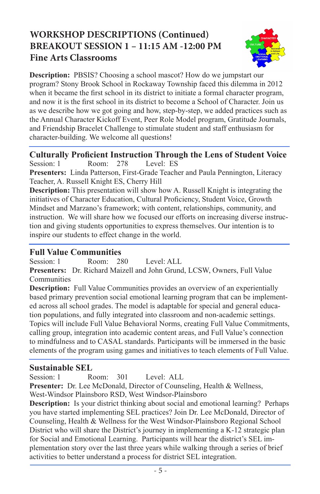## **WORKSHOP DESCRIPTIONS (Continued) BREAKOUT SESSION 1 – 11:15 AM -12:00 PM Fine Arts Classrooms**



**Description:** PBSIS? Choosing a school mascot? How do we jumpstart our program? Stony Brook School in Rockaway Township faced this dilemma in 2012 when it became the first school in its district to initiate a formal character program, and now it is the first school in its district to become a School of Character. Join us as we describe how we got going and how, step-by-step, we added practices such as the Annual Character Kickoff Event, Peer Role Model program, Gratitude Journals, and Friendship Bracelet Challenge to stimulate student and staff enthusiasm for character-building. We welcome all questions!

**Culturally Proficient Instruction Through the Lens of Student Voice** Session: 1 Room: 278 Level: ES **Presenters:** Linda Patterson, First-Grade Teacher and Paula Pennington, Literacy Teacher, A. Russell Knight ES, Cherry Hill

**Description:** This presentation will show how A. Russell Knight is integrating the initiatives of Character Education, Cultural Proficiency, Student Voice, Growth Mindset and Marzano's framework; with content, relationships, community, and instruction. We will share how we focused our efforts on increasing diverse instruction and giving students opportunities to express themselves. Our intention is to inspire our students to effect change in the world.

#### **Full Value Communities**

Session: 1 Room: 280 Level: ALL **Presenters:** Dr. Richard Maizell and John Grund, LCSW, Owners, Full Value Communities

**Description:** Full Value Communities provides an overview of an experientially based primary prevention social emotional learning program that can be implemented across all school grades. The model is adaptable for special and general education populations, and fully integrated into classroom and non-academic settings. Topics will include Full Value Behavioral Norms, creating Full Value Commitments, calling group, integration into academic content areas, and Full Value's connection to mindfulness and to CASAL standards. Participants will be immersed in the basic elements of the program using games and initiatives to teach elements of Full Value.

#### **Sustainable SEL**

Session: 1 Room: 301 Level: ALL

**Presenter:** Dr. Lee McDonald, Director of Counseling, Health & Wellness, West-Windsor Plainsboro RSD, West Windsor-Plainsboro

**Description:** Is your district thinking about social and emotional learning? Perhaps you have started implementing SEL practices? Join Dr. Lee McDonald, Director of Counseling, Health & Wellness for the West Windsor-Plainsboro Regional School District who will share the District's journey in implementing a K-12 strategic plan for Social and Emotional Learning. Participants will hear the district's SEL implementation story over the last three years while walking through a series of brief activities to better understand a process for district SEL integration.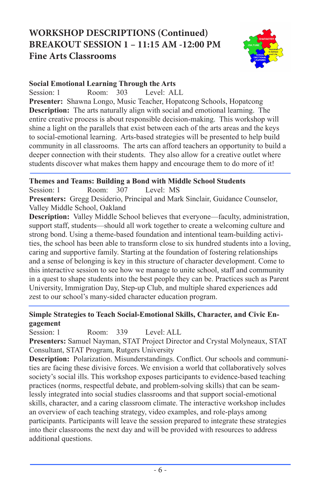## **WORKSHOP DESCRIPTIONS (Continued) BREAKOUT SESSION 1 – 11:15 AM -12:00 PM Fine Arts Classrooms**



#### **Social Emotional Learning Through the Arts**

Session: 1 Room: 303 Level: ALL

**Presenter:** Shawna Longo, Music Teacher, Hopatcong Schools, Hopatcong **Description:** The arts naturally align with social and emotional learning. The entire creative process is about responsible decision-making. This workshop will shine a light on the parallels that exist between each of the arts areas and the keys to social-emotional learning. Arts-based strategies will be presented to help build community in all classrooms. The arts can afford teachers an opportunity to build a deeper connection with their students. They also allow for a creative outlet where students discover what makes them happy and encourage them to do more of it!

#### **Themes and Teams: Building a Bond with Middle School Students**

Session: 1 Room: 307 Level: MS **Presenters:** Gregg Desiderio, Principal and Mark Sinclair, Guidance Counselor, Valley Middle School, Oakland

**Description:** Valley Middle School believes that everyone—faculty, administration, support staff, students—should all work together to create a welcoming culture and strong bond. Using a theme-based foundation and intentional team-building activities, the school has been able to transform close to six hundred students into a loving, caring and supportive family. Starting at the foundation of fostering relationships and a sense of belonging is key in this structure of character development. Come to this interactive session to see how we manage to unite school, staff and community in a quest to shape students into the best people they can be. Practices such as Parent University, Immigration Day, Step-up Club, and multiple shared experiences add zest to our school's many-sided character education program.

#### **Simple Strategies to Teach Social-Emotional Skills, Character, and Civic Engagement**

Session: 1 Room: 339 Level: ALL

**Presenters:** Samuel Nayman, STAT Project Director and Crystal Molyneaux, STAT Consultant, STAT Program, Rutgers University

**Description:** Polarization. Misunderstandings. Conflict. Our schools and communities are facing these divisive forces. We envision a world that collaboratively solves society's social ills. This workshop exposes participants to evidence-based teaching practices (norms, respectful debate, and problem-solving skills) that can be seamlessly integrated into social studies classrooms and that support social-emotional skills, character, and a caring classroom climate. The interactive workshop includes an overview of each teaching strategy, video examples, and role-plays among participants. Participants will leave the session prepared to integrate these strategies into their classrooms the next day and will be provided with resources to address additional questions.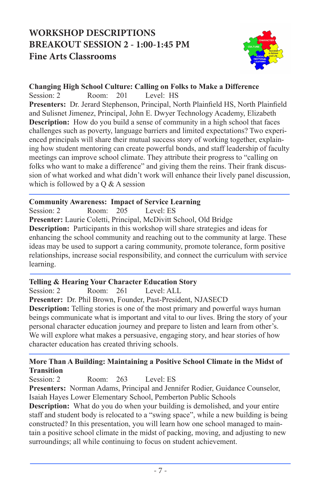## **WORKSHOP DESCRIPTIONS BREAKOUT SESSION 2 - 1:00-1:45 PM Fine Arts Classrooms**



#### **Changing High School Culture: Calling on Folks to Make a Difference**

Session: 2 Room: 201 Level: HS **Presenters:** Dr. Jerard Stephenson, Principal, North Plainfield HS, North Plainfield and Sulisnet Jimenez, Principal, John E. Dwyer Technology Academy, Elizabeth **Description:** How do you build a sense of community in a high school that faces challenges such as poverty, language barriers and limited expectations? Two experienced principals will share their mutual success story of working together, explaining how student mentoring can create powerful bonds, and staff leadership of faculty meetings can improve school climate. They attribute their progress to "calling on folks who want to make a difference" and giving them the reins. Their frank discussion of what worked and what didn't work will enhance their lively panel discussion, which is followed by a  $\overline{O}$  & A session

#### **Community Awareness: Impact of Service Learning**

Session: 2 Room: 205 Level: ES **Presenter:** Laurie Coletti, Principal, McDivitt School, Old Bridge **Description:** Participants in this workshop will share strategies and ideas for enhancing the school community and reaching out to the community at large. These ideas may be used to support a caring community, promote tolerance, form positive relationships, increase social responsibility, and connect the curriculum with service learning.

#### **Telling & Hearing Your Character Education Story**

Session: 2 Room: 261 Level: ALL **Presenter:** Dr. Phil Brown, Founder, Past-President, NJASECD **Description:** Telling stories is one of the most primary and powerful ways human beings communicate what is important and vital to our lives. Bring the story of your personal character education journey and prepare to listen and learn from other's. We will explore what makes a persuasive, engaging story, and hear stories of how character education has created thriving schools.

#### **More Than A Building: Maintaining a Positive School Climate in the Midst of Transition**

Session: 2 Room: 263 Level: ES **Presenters:** Norman Adams, Principal and Jennifer Rodier, Guidance Counselor, Isaiah Hayes Lower Elementary School, Pemberton Public Schools

**Description:** What do you do when your building is demolished, and your entire staff and student body is relocated to a "swing space", while a new building is being constructed? In this presentation, you will learn how one school managed to maintain a positive school climate in the midst of packing, moving, and adjusting to new surroundings; all while continuing to focus on student achievement.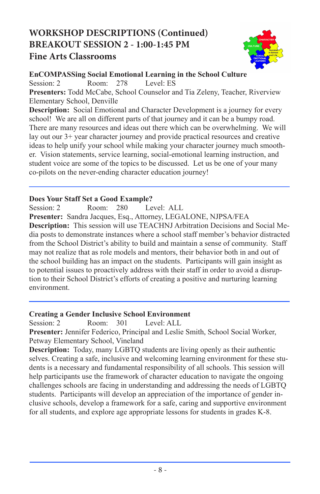## **WORKSHOP DESCRIPTIONS (Continued) BREAKOUT SESSION 2 - 1:00-1:45 PM Fine Arts Classrooms**



**EnCOMPASSing Social Emotional Learning in the School Culture** Session: 2 Room: 278 Level: ES

**Presenters:** Todd McCabe, School Counselor and Tia Zeleny, Teacher, Riverview Elementary School, Denville

**Description:** Social Emotional and Character Development is a journey for every school! We are all on different parts of that journey and it can be a bumpy road. There are many resources and ideas out there which can be overwhelming. We will lay out our 3+ year character journey and provide practical resources and creative ideas to help unify your school while making your character journey much smoother. Vision statements, service learning, social-emotional learning instruction, and student voice are some of the topics to be discussed. Let us be one of your many co-pilots on the never-ending character education journey!

#### **Does Your Staff Set a Good Example?**

Session: 2 Room: 280 Level: ALL **Presenter:** Sandra Jacques, Esq., Attorney, LEGALONE, NJPSA/FEA **Description:** This session will use TEACHNJ Arbitration Decisions and Social Media posts to demonstrate instances where a school staff member's behavior distracted from the School District's ability to build and maintain a sense of community. Staff may not realize that as role models and mentors, their behavior both in and out of the school building has an impact on the students. Participants will gain insight as to potential issues to proactively address with their staff in order to avoid a disruption to their School District's efforts of creating a positive and nurturing learning environment.

#### **Creating a Gender Inclusive School Environment**

Session: 2 Room: 301 Level: ALL

**Presenter:** Jennifer Federico, Principal and Leslie Smith, School Social Worker, Petway Elementary School, Vineland

**Description:** Today, many LGBTQ students are living openly as their authentic selves. Creating a safe, inclusive and welcoming learning environment for these students is a necessary and fundamental responsibility of all schools. This session will help participants use the framework of character education to navigate the ongoing challenges schools are facing in understanding and addressing the needs of LGBTQ students. Participants will develop an appreciation of the importance of gender inclusive schools, develop a framework for a safe, caring and supportive environment for all students, and explore age appropriate lessons for students in grades K-8.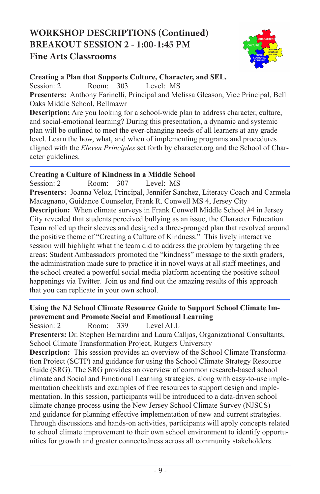## **WORKSHOP DESCRIPTIONS (Continued) BREAKOUT SESSION 2 - 1:00-1:45 PM Fine Arts Classrooms**



**Creating a Plan that Supports Culture, Character, and SEL.**

Session: 2 Room: 303 Level: MS

**Presenters:** Anthony Farinelli, Principal and Melissa Gleason, Vice Principal, Bell Oaks Middle School, Bellmawr

**Description:** Are you looking for a school-wide plan to address character, culture, and social-emotional learning? During this presentation, a dynamic and systemic plan will be outlined to meet the ever-changing needs of all learners at any grade level. Learn the how, what, and when of implementing programs and procedures aligned with the *Eleven Principles* set forth by character.org and the School of Character guidelines.

#### **Creating a Culture of Kindness in a Middle School**

Session: 2 Room: 307 Level: MS **Presenters:** Joanna Veloz, Principal, Jennifer Sanchez, Literacy Coach and Carmela Macagnano, Guidance Counselor, Frank R. Conwell MS 4, Jersey City **Description:** When climate surveys in Frank Conwell Middle School #4 in Jersey City revealed that students perceived bullying as an issue, the Character Education Team rolled up their sleeves and designed a three-pronged plan that revolved around the positive theme of "Creating a Culture of Kindness." This lively interactive session will highlight what the team did to address the problem by targeting three areas: Student Ambassadors promoted the "kindness" message to the sixth graders, the administration made sure to practice it in novel ways at all staff meetings, and the school created a powerful social media platform accenting the positive school happenings via Twitter. Join us and find out the amazing results of this approach that you can replicate in your own school.

#### **Using the NJ School Climate Resource Guide to Support School Climate Improvement and Promote Social and Emotional Learning**

Session: 2 Room: 339 Level ALL

**Presenters:** Dr. Stephen Bernardini and Laura Calljas, Organizational Consultants, School Climate Transformation Project, Rutgers University

**Description:** This session provides an overview of the School Climate Transformation Project (SCTP) and guidance for using the School Climate Strategy Resource Guide (SRG). The SRG provides an overview of common research-based school climate and Social and Emotional Learning strategies, along with easy-to-use implementation checklists and examples of free resources to support design and implementation. In this session, participants will be introduced to a data-driven school climate change process using the New Jersey School Climate Survey (NJSCS) and guidance for planning effective implementation of new and current strategies. Through discussions and hands-on activities, participants will apply concepts related to school climate improvement to their own school environment to identify opportunities for growth and greater connectedness across all community stakeholders.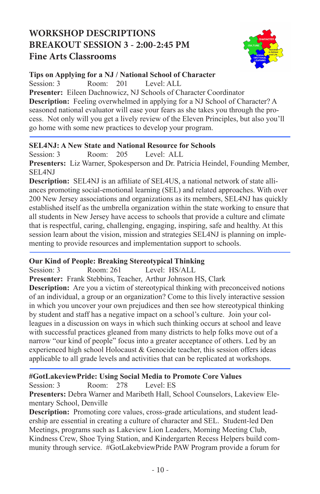## **WORKSHOP DESCRIPTIONS BREAKOUT SESSION 3 - 2:00-2:45 PM Fine Arts Classrooms**



#### **Tips on Applying for a NJ / National School of Character**

Session: 3 Room: 201 Level: ALL

**Presenter:** Eileen Dachnowicz, NJ Schools of Character Coordinator **Description:** Feeling overwhelmed in applying for a NJ School of Character? A seasoned national evaluator will ease your fears as she takes you through the process. Not only will you get a lively review of the Eleven Principles, but also you'll go home with some new practices to develop your program.

#### **SEL4NJ: A New State and National Resource for Schools**

Session: 3 Room: 205 Level: ALL

**Presenters:** Liz Warner, Spokesperson and Dr. Patricia Heindel, Founding Member, SEL4NJ

**Description:** SEL4NJ is an affiliate of SEL4US, a national network of state alliances promoting social-emotional learning (SEL) and related approaches. With over 200 New Jersey associations and organizations as its members, SEL4NJ has quickly established itself as the umbrella organization within the state working to ensure that all students in New Jersey have access to schools that provide a culture and climate that is respectful, caring, challenging, engaging, inspiring, safe and healthy. At this session learn about the vision, mission and strategies SEL4NJ is planning on implementing to provide resources and implementation support to schools.

#### **Our Kind of People: Breaking Stereotypical Thinking**

Session: 3 Room: 261 Level: HS/ALL **Presenter:** Frank Stebbins, Teacher, Arthur Johnson HS, Clark **Description:** Are you a victim of stereotypical thinking with preconceived notions of an individual, a group or an organization? Come to this lively interactive session in which you uncover your own prejudices and then see how stereotypical thinking by student and staff has a negative impact on a school's culture. Join your colleagues in a discussion on ways in which such thinking occurs at school and leave with successful practices gleaned from many districts to help folks move out of a narrow "our kind of people" focus into a greater acceptance of others. Led by an experienced high school Holocaust & Genocide teacher, this session offers ideas applicable to all grade levels and activities that can be replicated at workshops.

#### **#GotLakeviewPride: Using Social Media to Promote Core Values**

Session: 3 Room: 278 Level: ES

**Presenters:** Debra Warner and Maribeth Hall, School Counselors, Lakeview Elementary School, Denville

**Description:** Promoting core values, cross-grade articulations, and student leadership are essential in creating a culture of character and SEL. Student-led Den Meetings, programs such as Lakeview Lion Leaders, Morning Meeting Club, Kindness Crew, Shoe Tying Station, and Kindergarten Recess Helpers build community through service. #GotLakebviewPride PAW Program provide a forum for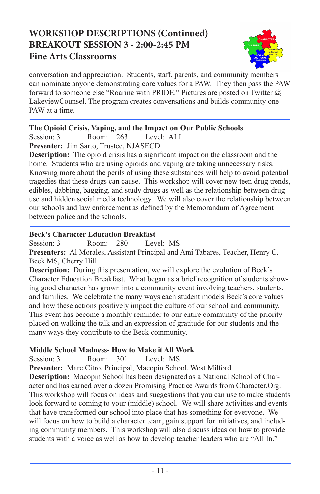## **WORKSHOP DESCRIPTIONS (Continued) BREAKOUT SESSION 3 - 2:00-2:45 PM Fine Arts Classrooms**



conversation and appreciation. Students, staff, parents, and community members can nominate anyone demonstrating core values for a PAW. They then pass the PAW forward to someone else "Roaring with PRIDE." Pictures are posted on Twitter @ LakeviewCounsel. The program creates conversations and builds community one PAW at a time.

#### **The Opioid Crisis, Vaping, and the Impact on Our Public Schools**

Session: 3 Room: 263 Level: ALL

**Presenter:** Jim Sarto, Trustee, NJASECD

**Description:** The opioid crisis has a significant impact on the classroom and the home. Students who are using opioids and vaping are taking unnecessary risks. Knowing more about the perils of using these substances will help to avoid potential tragedies that these drugs can cause. This workshop will cover new teen drug trends, edibles, dabbing, bagging, and study drugs as well as the relationship between drug use and hidden social media technology. We will also cover the relationship between our schools and law enforcement as defined by the Memorandum of Agreement between police and the schools.

#### **Beck's Character Education Breakfast**

Session: 3 Room: 280 Level: MS **Presenters:** Al Morales, Assistant Principal and Ami Tabares, Teacher, Henry C. Beck MS, Cherry Hill

**Description:** During this presentation, we will explore the evolution of Beck's Character Education Breakfast. What began as a brief recognition of students showing good character has grown into a community event involving teachers, students, and families. We celebrate the many ways each student models Beck's core values and how these actions positively impact the culture of our school and community. This event has become a monthly reminder to our entire community of the priority placed on walking the talk and an expression of gratitude for our students and the many ways they contribute to the Beck community.

#### **Middle School Madness- How to Make it All Work**

Session: 3 Room: 301 Level: MS

**Presenter:** Marc Citro, Principal, Macopin School, West Milford **Description:** Macopin School has been designated as a National School of Character and has earned over a dozen Promising Practice Awards from Character.Org. This workshop will focus on ideas and suggestions that you can use to make students look forward to coming to your (middle) school. We will share activities and events that have transformed our school into place that has something for everyone. We will focus on how to build a character team, gain support for initiatives, and including community members. This workshop will also discuss ideas on how to provide students with a voice as well as how to develop teacher leaders who are "All In."